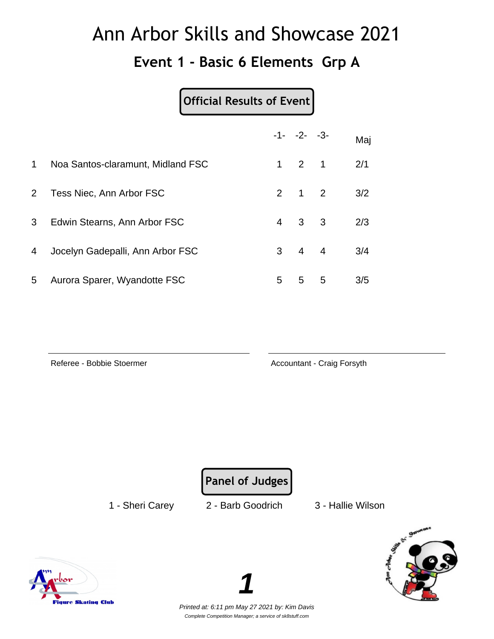#### **Event 1 - Basic 6 Elements Grp A**

#### **Official Results of Event**

|                |                                   |                | $-1 - -2 - -3$      |   | Maj |
|----------------|-----------------------------------|----------------|---------------------|---|-----|
| $\mathbf 1$    | Noa Santos-claramunt, Midland FSC |                | $1 \quad 2 \quad 1$ |   | 2/1 |
| 2 <sup>1</sup> | Tess Niec, Ann Arbor FSC          |                | $2 \quad 1 \quad 2$ |   | 3/2 |
| 3 <sup>1</sup> | Edwin Stearns, Ann Arbor FSC      | $\overline{4}$ | $3 \quad 3$         |   | 2/3 |
| 4              | Jocelyn Gadepalli, Ann Arbor FSC  |                | $3 \quad 4 \quad 4$ |   | 3/4 |
| 5              | Aurora Sparer, Wyandotte FSC      | 5              | 5                   | 5 | 3/5 |

Referee - Bobbie Stoermer **Accountant - Craig Forsyth** 

**Panel of Judges**

1 - Sheri Carey 2 - Barb Goodrich 3 - Hallie Wilson



Printed at: 6:11 pm May 27 2021 by: Kim Davis Complete Competition Manager; a service of sk8stuff.com

**1**

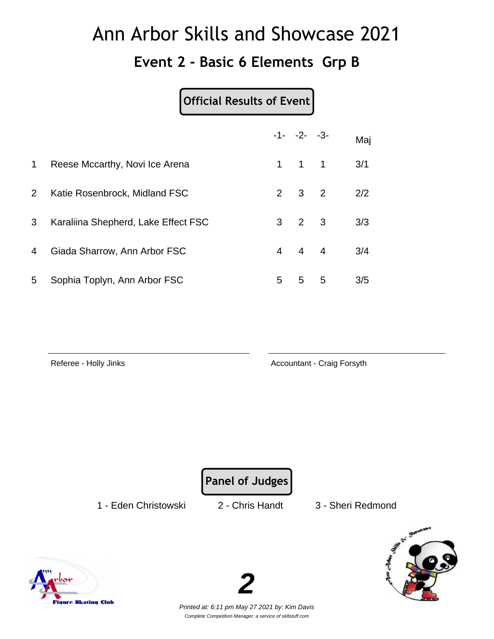#### **Event 2 - Basic 6 Elements Grp B**

#### **Official Results of Event**

|              |                                     |   | $-1 - -2 - -3$      |   | Maj |
|--------------|-------------------------------------|---|---------------------|---|-----|
| $\mathbf{1}$ | Reese Mccarthy, Novi Ice Arena      |   | $1 \quad 1 \quad 1$ |   | 3/1 |
| $2^{\circ}$  | Katie Rosenbrock, Midland FSC       |   | $2 \quad 3 \quad 2$ |   | 2/2 |
| 3            | Karaliina Shepherd, Lake Effect FSC |   | $3 \quad 2 \quad 3$ |   | 3/3 |
| 4            | Giada Sharrow, Ann Arbor FSC        |   | $4 \quad 4 \quad 4$ |   | 3/4 |
| 5            | Sophia Toplyn, Ann Arbor FSC        | 5 | 5                   | 5 | 3/5 |

Referee - Holly Jinks **Accountant - Craig Forsyth** 

**Panel of Judges**

1 - Eden Christowski 2 - Chris Handt 3 - Sheri Redmond





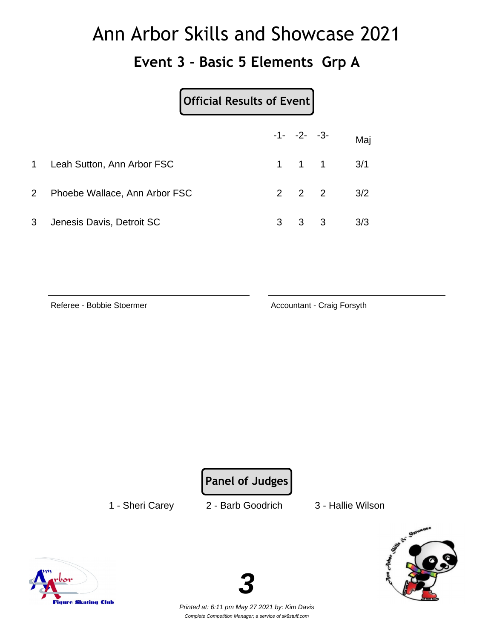#### **Event 3 - Basic 5 Elements Grp A**

|                | Official Results of Event     |   |                     |    |     |
|----------------|-------------------------------|---|---------------------|----|-----|
|                |                               |   | $-1 - -2 - -3$      |    | Maj |
| $1 \quad$      | Leah Sutton, Ann Arbor FSC    |   | $1 \quad 1 \quad 1$ |    | 3/1 |
| $\overline{2}$ | Phoebe Wallace, Ann Arbor FSC |   | $2 \quad 2 \quad 2$ |    | 3/2 |
| 3              | Jenesis Davis, Detroit SC     | 3 | 3                   | -3 | 3/3 |

Referee - Bobbie Stoermer **Accountant - Craig Forsyth** 

**Panel of Judges**

1 - Sheri Carey 2 - Barb Goodrich 3 - Hallie Wilson





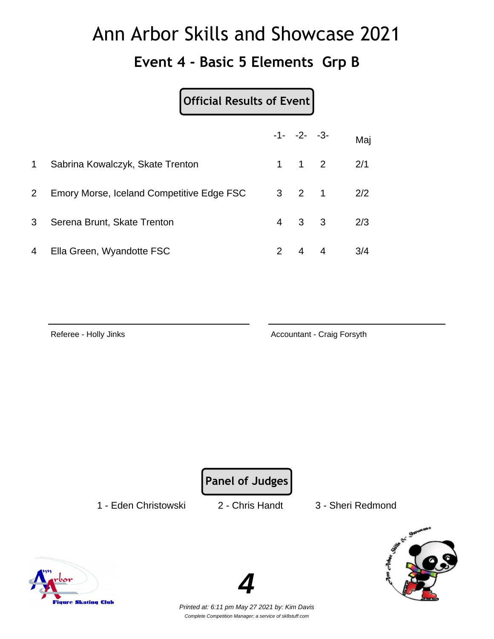#### **Event 4 - Basic 5 Elements Grp B**

#### **Official Results of Event**

|                |                                           | $-1 - -2 - -3$      |                   | Maj |
|----------------|-------------------------------------------|---------------------|-------------------|-----|
| $\mathbf 1$    | Sabrina Kowalczyk, Skate Trenton          | $1 \quad 1 \quad 2$ |                   | 2/1 |
| 2 <sup>1</sup> | Emory Morse, Iceland Competitive Edge FSC |                     | $3 \t2 \t1 \t2/2$ |     |
| 3              | Serena Brunt, Skate Trenton               | $4 \quad 3 \quad 3$ |                   | 2/3 |
| 4 <sup>1</sup> | Ella Green, Wyandotte FSC                 | $2 \quad 4 \quad 4$ |                   | 3/4 |

Referee - Holly Jinks **Accountant - Craig Forsyth** 

**Panel of Judges**

1 - Eden Christowski 2 - Chris Handt 3 - Sheri Redmond





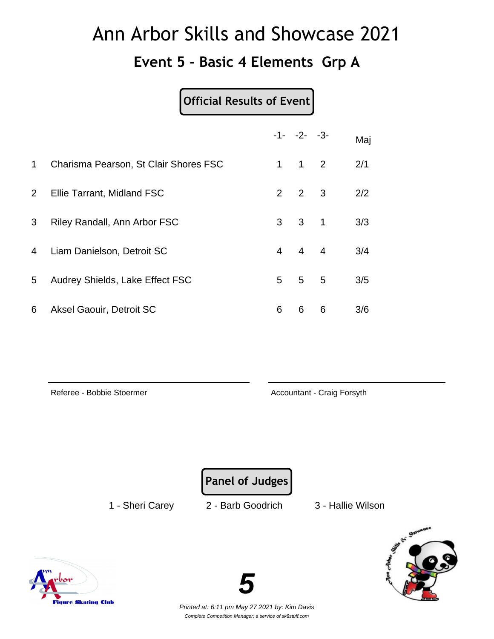#### **Event 5 - Basic 4 Elements Grp A**

#### **Official Results of Event**

|                       |                                       |                | $-1 - -2 - -3$      |   | Maj |
|-----------------------|---------------------------------------|----------------|---------------------|---|-----|
| $\mathbf{1}$          | Charisma Pearson, St Clair Shores FSC | $\mathbf{1}$   | $1\quad 2$          |   | 2/1 |
| $\mathbf{2}^{\prime}$ | Ellie Tarrant, Midland FSC            |                | $2 \quad 2 \quad 3$ |   | 2/2 |
| 3                     | Riley Randall, Ann Arbor FSC          |                | $3 \quad 3 \quad 1$ |   | 3/3 |
| 4                     | Liam Danielson, Detroit SC            | $\overline{4}$ | $4 \quad 4$         |   | 3/4 |
| 5                     | Audrey Shields, Lake Effect FSC       | 5              | $5^{\circ}$         | 5 | 3/5 |
| 6                     | Aksel Gaouir, Detroit SC              | 6              | 6                   | 6 | 3/6 |

Referee - Bobbie Stoermer **Accountant - Craig Forsyth** 

**Panel of Judges**

1 - Sheri Carey 2 - Barb Goodrich 3 - Hallie Wilson





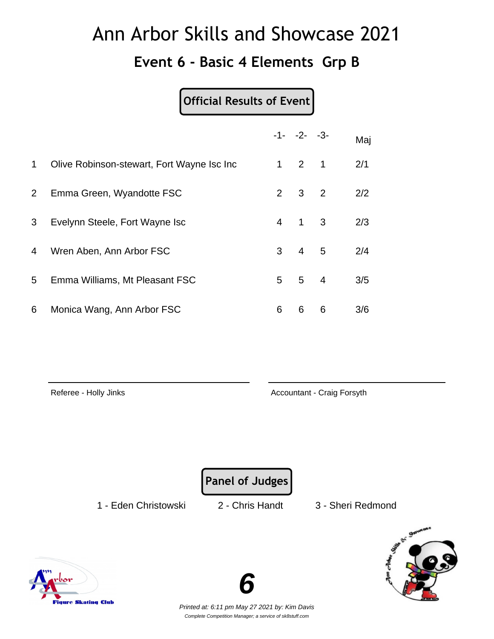#### **Event 6 - Basic 4 Elements Grp B**

#### **Official Results of Event**

|                |                                            |                | $-1 - -2 - -3$      |   | Maj |
|----------------|--------------------------------------------|----------------|---------------------|---|-----|
| $\mathbf 1$    | Olive Robinson-stewart, Fort Wayne Isc Inc |                | $1 \quad 2 \quad 1$ |   | 2/1 |
| $\overline{2}$ | Emma Green, Wyandotte FSC                  | $\overline{2}$ | 3 <sup>2</sup>      |   | 2/2 |
| 3              | Evelynn Steele, Fort Wayne Isc             | 4              | $1 \quad 3$         |   | 2/3 |
| 4              | Wren Aben, Ann Arbor FSC                   | 3              | $4\quad 5$          |   | 2/4 |
| 5              | Emma Williams, Mt Pleasant FSC             | 5              | $5\quad 4$          |   | 3/5 |
| 6              | Monica Wang, Ann Arbor FSC                 | 6              | 6                   | 6 | 3/6 |

Referee - Holly Jinks **Accountant - Craig Forsyth** 

**Panel of Judges**

1 - Eden Christowski 2 - Chris Handt 3 - Sheri Redmond



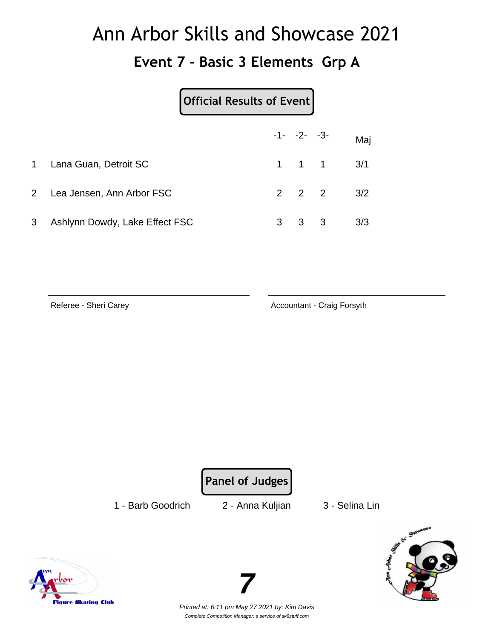#### **Event 7 - Basic 3 Elements Grp A**

|                |                                | Official Results of Event |                     |              |                               |
|----------------|--------------------------------|---------------------------|---------------------|--------------|-------------------------------|
|                |                                |                           | $-1 - -2 - -3$      |              | Maj                           |
| 1              | Lana Guan, Detroit SC          |                           |                     |              | $1 \quad 1 \quad 1 \quad 3/1$ |
|                | 2 Lea Jensen, Ann Arbor FSC    |                           | $2 \quad 2 \quad 2$ |              | 3/2                           |
| 3 <sup>1</sup> | Ashlynn Dowdy, Lake Effect FSC |                           | 3                   | $\mathbf{3}$ | 3/3                           |

Referee - Sheri Carey **Accountant - Craig Forsyth** 

**Panel of Judges**

1 - Barb Goodrich 2 - Anna Kuljian 3 - Selina Lin





Printed at: 6:11 pm May 27 2021 by: Kim Davis Complete Competition Manager; a service of sk8stuff.com

**7**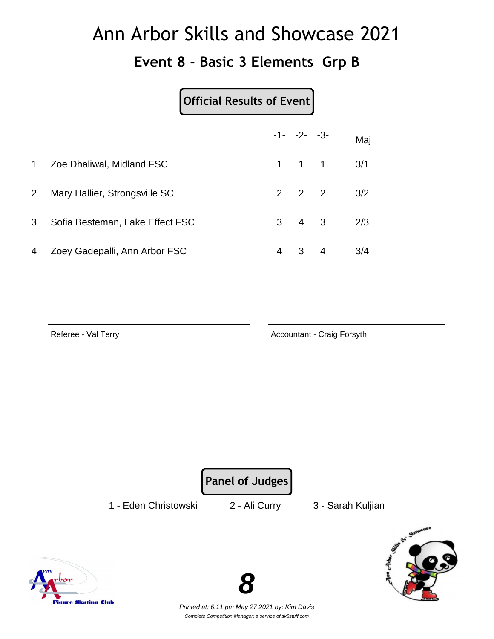#### **Event 8 - Basic 3 Elements Grp B**

#### **Official Results of Event**

|              |                                 |   | $-1 - -2 - -3$      |                | Maj |
|--------------|---------------------------------|---|---------------------|----------------|-----|
| $\mathbf{1}$ | Zoe Dhaliwal, Midland FSC       |   | $1 \quad 1 \quad 1$ |                | 3/1 |
| $2^{\circ}$  | Mary Hallier, Strongsville SC   |   | $2 \quad 2 \quad 2$ |                | 3/2 |
| 3            | Sofia Besteman, Lake Effect FSC |   | $3 \quad 4 \quad 3$ |                | 2/3 |
| 4            | Zoey Gadepalli, Ann Arbor FSC   | 4 | $\mathbf{3}$        | $\overline{4}$ | 3/4 |

Referee - Val Terry **Accountant - Craig Forsyth** 

**Panel of Judges**

1 - Eden Christowski 2 - Ali Curry 3 - Sarah Kuljian





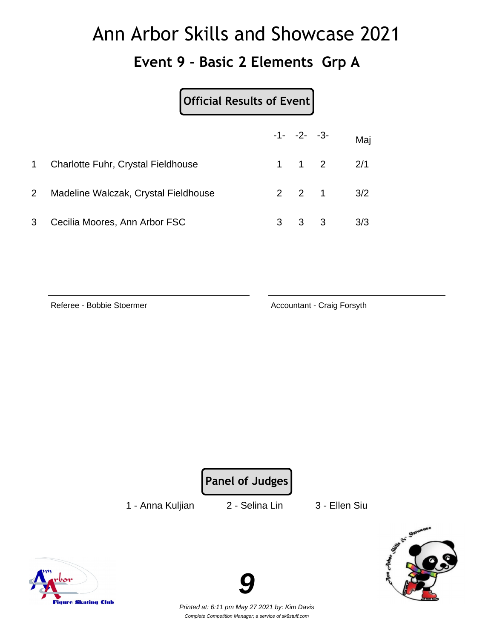#### **Event 9 - Basic 2 Elements Grp A**

#### **Official Results of Event**

|                |                                           |   | $-1 - -2 - -3 -$    |                   | Maj |
|----------------|-------------------------------------------|---|---------------------|-------------------|-----|
| $\mathbf 1$    | <b>Charlotte Fuhr, Crystal Fieldhouse</b> |   | $1 \quad 1 \quad 2$ |                   | 2/1 |
| 2 <sup>1</sup> | Madeline Walczak, Crystal Fieldhouse      |   |                     | $2 \t2 \t1 \t3/2$ |     |
| 3              | Cecilia Moores, Ann Arbor FSC             | 3 | $3 \quad 3$         |                   | 3/3 |

Referee - Bobbie Stoermer **Accountant - Craig Forsyth** 



1 - Anna Kuljian 2 - Selina Lin 3 - Ellen Siu





Printed at: 6:11 pm May 27 2021 by: Kim Davis Complete Competition Manager; a service of sk8stuff.com

**9**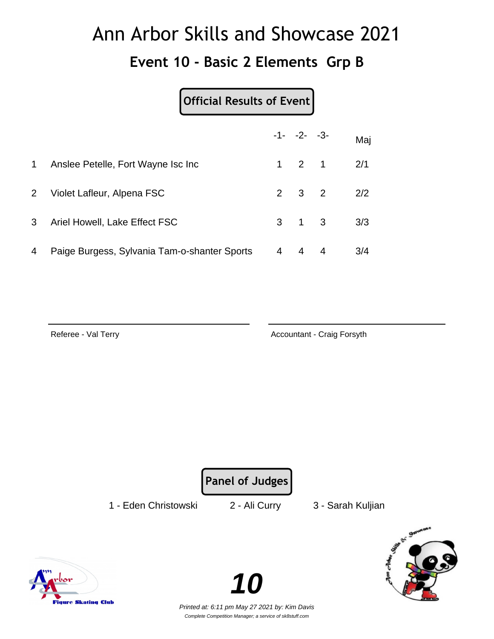#### **Event 10 - Basic 2 Elements Grp B**

#### **Official Results of Event**

|                |                                              |   | $-1 - -2 - -3$      |   | Maj |
|----------------|----------------------------------------------|---|---------------------|---|-----|
| $\mathbf{1}$   | Anslee Petelle, Fort Wayne Isc Inc.          |   | $1 \quad 2 \quad 1$ |   | 2/1 |
| 2 <sup>1</sup> | Violet Lafleur, Alpena FSC                   |   | $2 \quad 3 \quad 2$ |   | 2/2 |
| 3 <sup>1</sup> | Ariel Howell, Lake Effect FSC                |   | $3 \quad 1 \quad 3$ |   | 3/3 |
| 4              | Paige Burgess, Sylvania Tam-o-shanter Sports | 4 | 4                   | 4 | 3/4 |

Referee - Val Terry **Accountant - Craig Forsyth** 

**Panel of Judges**

1 - Eden Christowski 2 - Ali Curry 3 - Sarah Kuljian





Printed at: 6:11 pm May 27 2021 by: Kim Davis Complete Competition Manager; a service of sk8stuff.com

**10**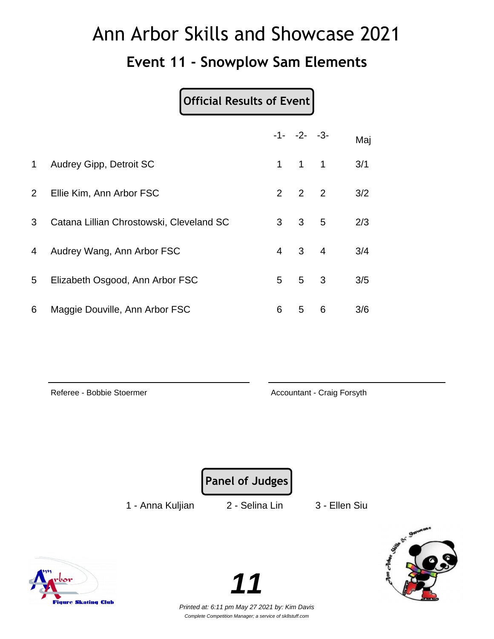#### **Event 11 - Snowplow Sam Elements**

#### **Official Results of Event**

|                |                                          |                | $-1 - -2 - -3$      |                 | Maj |
|----------------|------------------------------------------|----------------|---------------------|-----------------|-----|
| 1              | Audrey Gipp, Detroit SC                  | $\mathbf 1$    | $1 \quad 1$         |                 | 3/1 |
| $\overline{2}$ | Ellie Kim, Ann Arbor FSC                 |                | $2 \quad 2 \quad 2$ |                 | 3/2 |
| 3              | Catana Lillian Chrostowski, Cleveland SC | 3 <sup>1</sup> | $3^{\circ}$         | $5\overline{)}$ | 2/3 |
| 4              | Audrey Wang, Ann Arbor FSC               | 4              | $3 \quad 4$         |                 | 3/4 |
| 5              | Elizabeth Osgood, Ann Arbor FSC          | 5              | 5 <sup>3</sup>      |                 | 3/5 |
| 6              | Maggie Douville, Ann Arbor FSC           | 6              | 5                   | 6               | 3/6 |

Referee - Bobbie Stoermer **Accountant - Craig Forsyth** 

**Panel of Judges**

1 - Anna Kuljian 2 - Selina Lin 3 - Ellen Siu



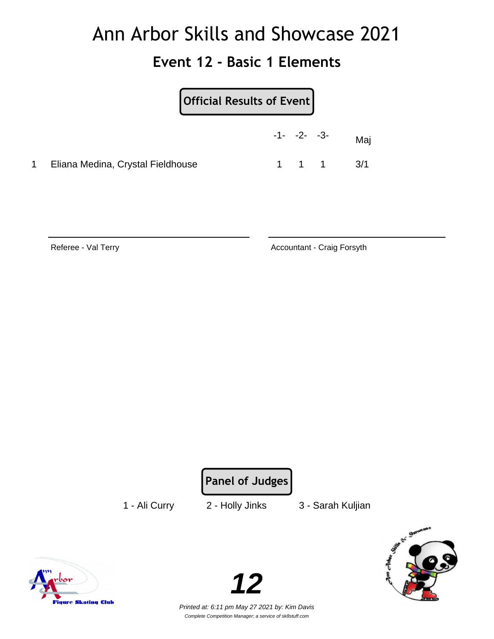#### **Event 12 - Basic 1 Elements**

| Official Results of Event         |                |  |                               |
|-----------------------------------|----------------|--|-------------------------------|
|                                   | $-1 - -2 - -3$ |  | Maj                           |
| Eliana Medina, Crystal Fieldhouse |                |  | $1 \quad 1 \quad 1 \quad 3/1$ |

Referee - Val Terry **Accountant - Craig Forsyth** 

**Panel of Judges**

1 - Ali Curry 2 - Holly Jinks 3 - Sarah Kuljian



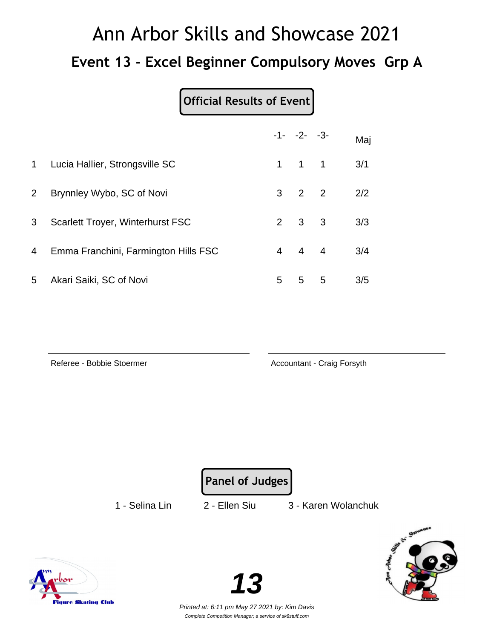# Ann Arbor Skills and Showcase 2021 **Event 13 - Excel Beginner Compulsory Moves Grp A**

| Official Results of Event |  |
|---------------------------|--|
|                           |  |

|                |                                         |   | $-1 - -2 - -3$      |   | Maj |
|----------------|-----------------------------------------|---|---------------------|---|-----|
| $\mathbf 1$    | Lucia Hallier, Strongsville SC          |   | $1 \quad 1 \quad 1$ |   | 3/1 |
| $\mathbf{2}$   | Brynnley Wybo, SC of Novi               |   | $3 \quad 2 \quad 2$ |   | 2/2 |
| 3              | <b>Scarlett Troyer, Winterhurst FSC</b> |   | $2 \quad 3 \quad 3$ |   | 3/3 |
| $\overline{4}$ | Emma Franchini, Farmington Hills FSC    |   | $4 \quad 4 \quad 4$ |   | 3/4 |
| 5              | Akari Saiki, SC of Novi                 | 5 | 5                   | 5 | 3/5 |

Referee - Bobbie Stoermer **Accountant - Craig Forsyth** 

**Panel of Judges**

1 - Selina Lin 2 - Ellen Siu 3 - Karen Wolanchuk



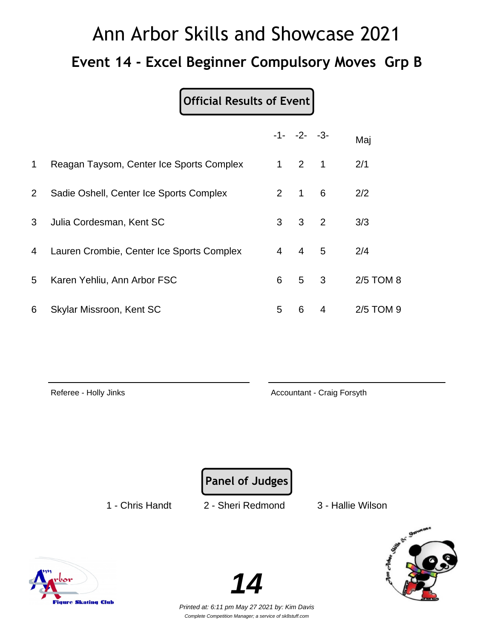# Ann Arbor Skills and Showcase 2021 **Event 14 - Excel Beginner Compulsory Moves Grp B**

**Official Results of Event**

|             |                                           |                | $-1 - -2 - -3$      |                         | Maj       |  |
|-------------|-------------------------------------------|----------------|---------------------|-------------------------|-----------|--|
| $\mathbf 1$ | Reagan Taysom, Center Ice Sports Complex  | $\mathbf 1$    | $2 \quad 1$         |                         | 2/1       |  |
| $2^{\circ}$ | Sadie Oshell, Center Ice Sports Complex   |                | $2 \quad 1 \quad 6$ |                         | 2/2       |  |
| 3           | Julia Cordesman, Kent SC                  | 3              | 3 <sup>2</sup>      |                         | 3/3       |  |
| 4           | Lauren Crombie, Center Ice Sports Complex | $\overline{4}$ | $\overline{4}$      | 5                       | 2/4       |  |
| 5           | Karen Yehliu, Ann Arbor FSC               | 6              | 5 <sup>5</sup>      | $\overline{\mathbf{3}}$ | 2/5 TOM 8 |  |
| 6           | Skylar Missroon, Kent SC                  | 5              | 6                   | 4                       | 2/5 TOM 9 |  |

Referee - Holly Jinks **Accountant - Craig Forsyth** 

**Panel of Judges**

1 - Chris Handt 2 - Sheri Redmond 3 - Hallie Wilson





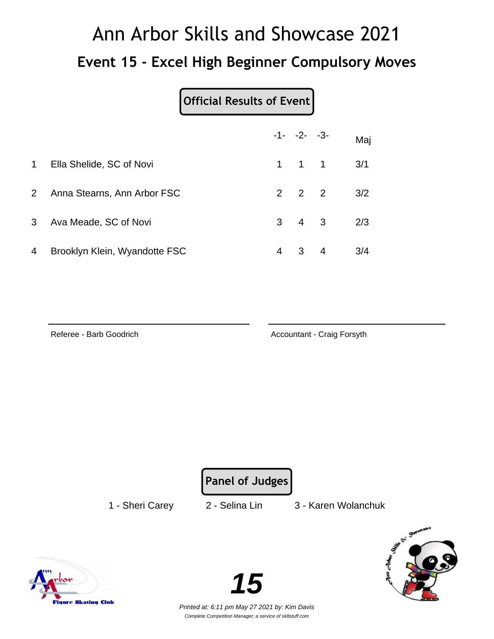# Ann Arbor Skills and Showcase 2021 **Event 15 - Excel High Beginner Compulsory Moves**

|                |                               |                | $-1 - -2 - -3$      |                | Maj |
|----------------|-------------------------------|----------------|---------------------|----------------|-----|
| $\mathbf 1$    | Ella Shelide, SC of Novi      |                | $1 \quad 1 \quad 1$ |                | 3/1 |
| 2 <sup>1</sup> | Anna Stearns, Ann Arbor FSC   |                | $2 \quad 2 \quad 2$ |                | 3/2 |
| 3              | Ava Meade, SC of Novi         |                | $3 \quad 4 \quad 3$ |                | 2/3 |
| 4              | Brooklyn Klein, Wyandotte FSC | $\overline{4}$ | 3                   | $\overline{4}$ | 3/4 |

Referee - Barb Goodrich **Accountant - Craig Forsyth** Accountant - Craig Forsyth

**Panel of Judges**

1 - Sheri Carey 2 - Selina Lin 3 - Karen Wolanchuk



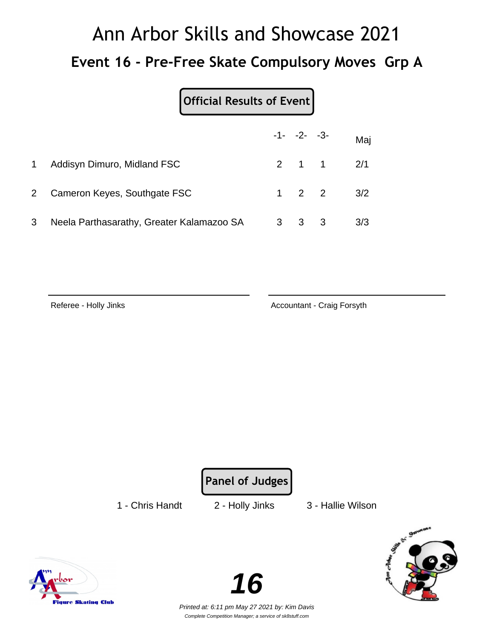# Ann Arbor Skills and Showcase 2021 **Event 16 - Pre-Free Skate Compulsory Moves Grp A**

#### **Official Results of Event**

|             |                                           | $-1 - -2 - -3 -$    |                   | Maj |
|-------------|-------------------------------------------|---------------------|-------------------|-----|
| $\mathbf 1$ | Addisyn Dimuro, Midland FSC               |                     | $2 \t1 \t1 \t2/1$ |     |
|             | 2 Cameron Keyes, Southgate FSC            |                     | $1 \t2 \t2 \t3/2$ |     |
| 3           | Neela Parthasarathy, Greater Kalamazoo SA | $3 \quad 3 \quad 3$ |                   | 3/3 |

Referee - Holly Jinks **Accountant - Craig Forsyth** 

**Panel of Judges**

1 - Chris Handt 2 - Holly Jinks 3 - Hallie Wilson





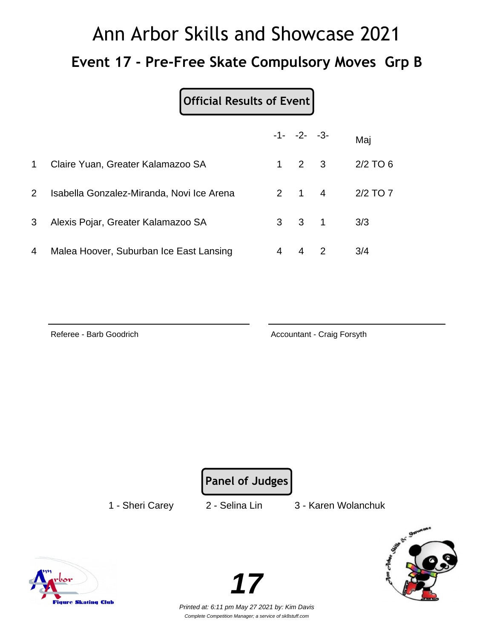# Ann Arbor Skills and Showcase 2021 **Event 17 - Pre-Free Skate Compulsory Moves Grp B**

#### **Official Results of Event**

|                |                                           |           | $-1 - -2 - -3$      | Maj        |
|----------------|-------------------------------------------|-----------|---------------------|------------|
| $\mathbf{1}$   | Claire Yuan, Greater Kalamazoo SA         | $1 \quad$ | $2 \quad 3$         | $2/2$ TO 6 |
| 2 <sup>1</sup> | Isabella Gonzalez-Miranda, Novi Ice Arena |           | $2 \quad 1 \quad 4$ | 2/2 TO 7   |
| 3              | Alexis Pojar, Greater Kalamazoo SA        |           | $3 \quad 3 \quad 1$ | 3/3        |
| 4              | Malea Hoover, Suburban Ice East Lansing   | 4         |                     | 3/4        |

Referee - Barb Goodrich **Accountant - Craig Forsyth** Accountant - Craig Forsyth

**Panel of Judges**

1 - Sheri Carey 2 - Selina Lin 3 - Karen Wolanchuk



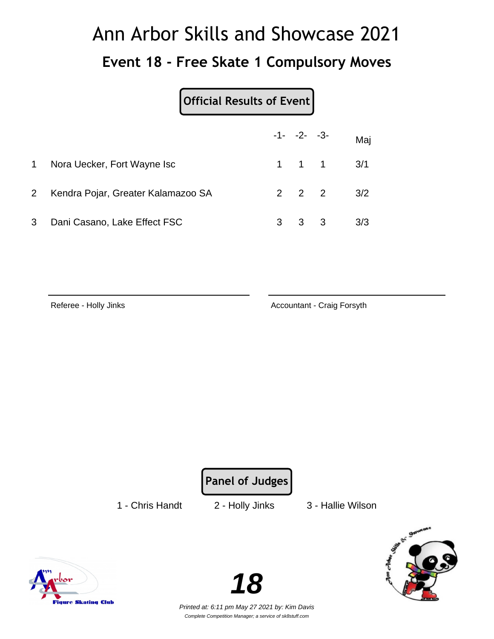# Ann Arbor Skills and Showcase 2021 **Event 18 - Free Skate 1 Compulsory Moves**

#### **Official Results of Event**

|           |                                      | $-1 - -2 - -3$ |                               | Maj |
|-----------|--------------------------------------|----------------|-------------------------------|-----|
| $1 \quad$ | Nora Uecker, Fort Wayne Isc          |                | $1 \quad 1 \quad 1 \quad 3/1$ |     |
|           | 2 Kendra Pojar, Greater Kalamazoo SA |                | $2 \t2 \t2 \t3/2$             |     |
| 3         | Dani Casano, Lake Effect FSC         | $3 \quad 3$    |                               | 3/3 |

Referee - Holly Jinks **Accountant - Craig Forsyth** 

**Panel of Judges**

1 - Chris Handt 2 - Holly Jinks 3 - Hallie Wilson







Printed at: 6:11 pm May 27 2021 by: Kim Davis Complete Competition Manager; a service of sk8stuff.com

**18**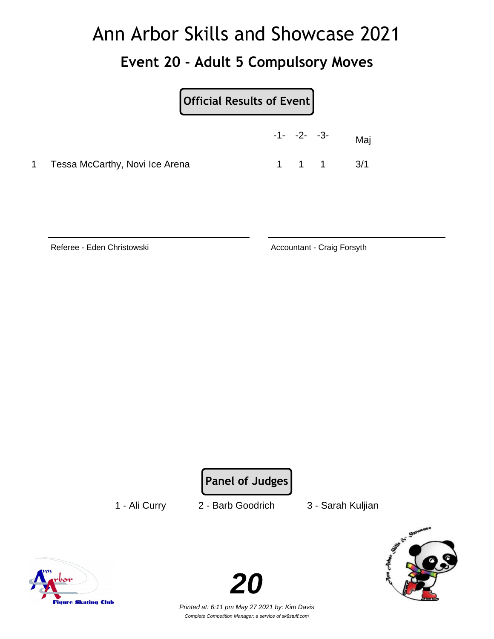#### **Event 20 - Adult 5 Compulsory Moves**

| <b>Official Results of Event</b> |  |  |
|----------------------------------|--|--|
|                                  |  |  |

|                                  | $-1 - -2 - -3 -$ |       | Maj |
|----------------------------------|------------------|-------|-----|
| 1 Tessa McCarthy, Novi Ice Arena |                  | 1 1 1 | 3/1 |

Referee - Eden Christowski **Accountant - Craig Forsyth** Accountant - Craig Forsyth

**Panel of Judges**

1 - Ali Curry 2 - Barb Goodrich 3 - Sarah Kuljian



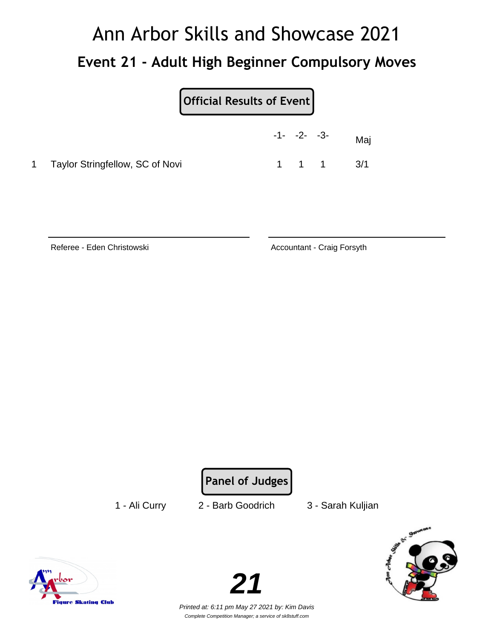# Ann Arbor Skills and Showcase 2021 **Event 21 - Adult High Beginner Compulsory Moves**

|                                   | $-1 - -2 - -3$ |       | Maj |
|-----------------------------------|----------------|-------|-----|
| 1 Taylor Stringfellow, SC of Novi |                | 1 1 1 | 3/1 |

Referee - Eden Christowski **Accountant - Craig Forsyth** Accountant - Craig Forsyth

**Panel of Judges**

1 - Ali Curry 2 - Barb Goodrich 3 - Sarah Kuljian







Printed at: 6:11 pm May 27 2021 by: Kim Davis Complete Competition Manager; a service of sk8stuff.com

**21**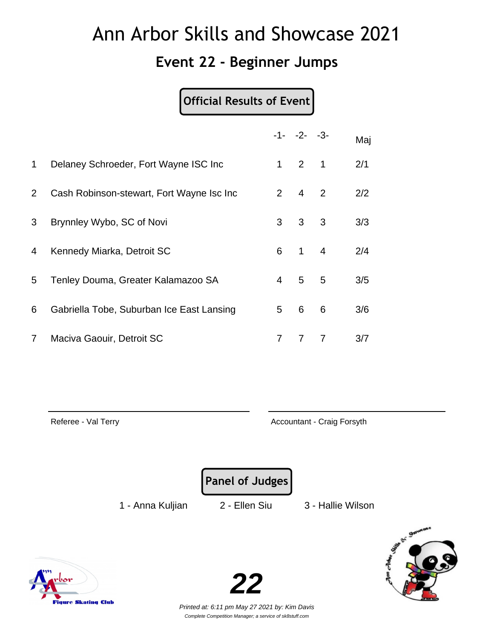#### **Event 22 - Beginner Jumps**

#### **Official Results of Event**

|                |                                           |                | $-1 - -2 - -3$      |   | Maj |
|----------------|-------------------------------------------|----------------|---------------------|---|-----|
| $\mathbf 1$    | Delaney Schroeder, Fort Wayne ISC Inc     |                | $1 \quad 2 \quad 1$ |   | 2/1 |
| $\overline{2}$ | Cash Robinson-stewart, Fort Wayne Isc Inc | $2^{\circ}$    | $4\quad 2$          |   | 2/2 |
| 3              | Brynnley Wybo, SC of Novi                 | 3 <sup>7</sup> | 3 <sup>7</sup>      | 3 | 3/3 |
| 4              | Kennedy Miarka, Detroit SC                | 6              | $1 \quad 4$         |   | 2/4 |
| 5              | Tenley Douma, Greater Kalamazoo SA        | $\overline{4}$ | 5 <sup>5</sup>      | 5 | 3/5 |
| 6              | Gabriella Tobe, Suburban Ice East Lansing | 5              | 6                   | 6 | 3/6 |
| $\mathbf{7}$   | Maciva Gaouir, Detroit SC                 | 7              | 7                   | 7 | 3/7 |

Referee - Val Terry **Accountant - Craig Forsyth** 

**Panel of Judges**

1 - Anna Kuljian 2 - Ellen Siu 3 - Hallie Wilson





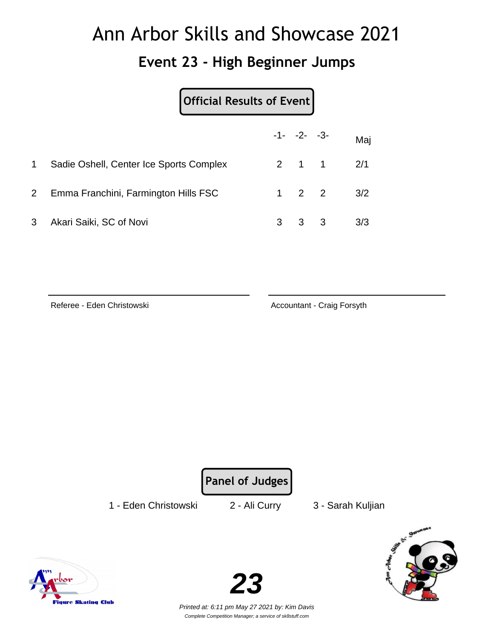#### **Event 23 - High Beginner Jumps**

| Official Results of Event |  |  |
|---------------------------|--|--|
|---------------------------|--|--|

|   |                                         |   | $-1 - -2 - -3$      | Maj |
|---|-----------------------------------------|---|---------------------|-----|
|   | Sadie Oshell, Center Ice Sports Complex |   | $2 \quad 1 \quad 1$ | 2/1 |
|   | 2 Emma Franchini, Farmington Hills FSC  |   | $1 \quad 2 \quad 2$ | 3/2 |
| 3 | Akari Saiki, SC of Novi                 | 3 | $3 \quad 3$         | 3/3 |

Referee - Eden Christowski **Accountant - Craig Forsyth** 

**Panel of Judges**

1 - Eden Christowski 2 - Ali Curry 3 - Sarah Kuljian





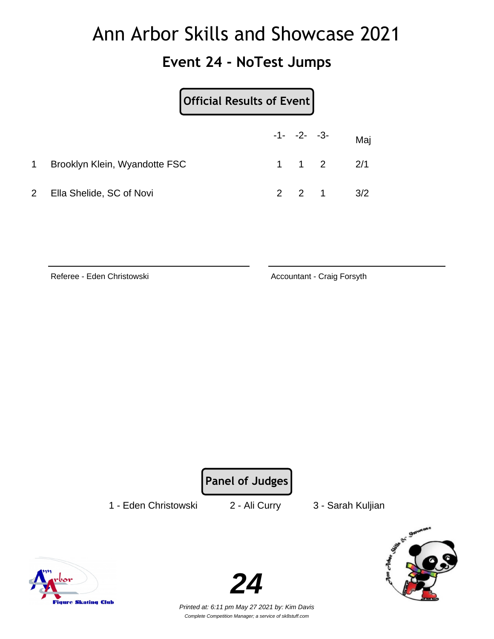#### **Event 24 - NoTest Jumps**

|                |                               | Official Results of Event |                     |  |                   |  |  |  |
|----------------|-------------------------------|---------------------------|---------------------|--|-------------------|--|--|--|
|                |                               |                           | $-1 - -2 - -3$      |  | Maj               |  |  |  |
| 1              | Brooklyn Klein, Wyandotte FSC |                           | $1 \quad 1 \quad 2$ |  | 2/1               |  |  |  |
| 2 <sup>1</sup> | Ella Shelide, SC of Novi      |                           |                     |  | $2 \t2 \t1 \t3/2$ |  |  |  |

Referee - Eden Christowski **Accountant - Craig Forsyth** 

**Panel of Judges**

1 - Eden Christowski 2 - Ali Curry 3 - Sarah Kuljian







Printed at: 6:11 pm May 27 2021 by: Kim Davis Complete Competition Manager; a service of sk8stuff.com

**24**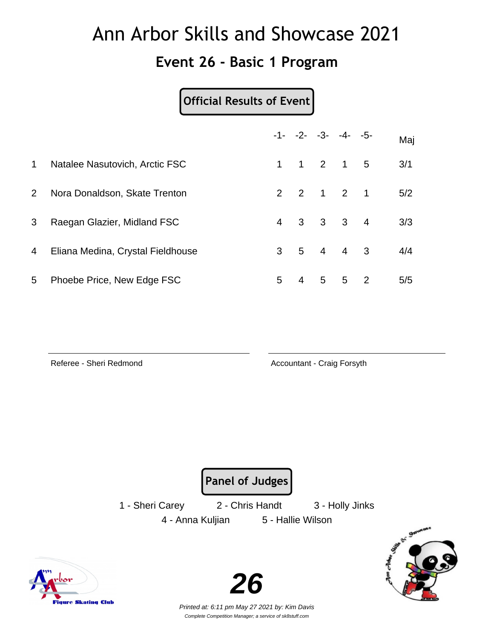#### **Event 26 - Basic 1 Program**

#### **Official Results of Event**

|              |                                   |                | $-1 - -2 - -3 - -4 - -5$            |            |                            | Maj |
|--------------|-----------------------------------|----------------|-------------------------------------|------------|----------------------------|-----|
| $\mathbf{1}$ | Natalee Nasutovich, Arctic FSC    |                | $1 \quad 1 \quad 2 \quad 1 \quad 5$ |            |                            | 3/1 |
| $2^{\circ}$  | Nora Donaldson, Skate Trenton     |                | 2 2 1 2 1                           |            |                            | 5/2 |
| 3            | Raegan Glazier, Midland FSC       | $\overline{4}$ | $3 \quad 3 \quad 3 \quad 4$         |            |                            | 3/3 |
| 4            | Eliana Medina, Crystal Fieldhouse |                | $3 \quad 5 \quad 4 \quad 4 \quad 3$ |            |                            | 4/4 |
| 5            | Phoebe Price, New Edge FSC        | 5              | 4                                   | $5\quad 5$ | $\overline{\phantom{0}}^2$ | 5/5 |

Referee - Sheri Redmond **Accountant - Craig Forsyth** 

**Panel of Judges**

1 - Sheri Carey 2 - Chris Handt 3 - Holly Jinks 4 - Anna Kuljian 5 - Hallie Wilson





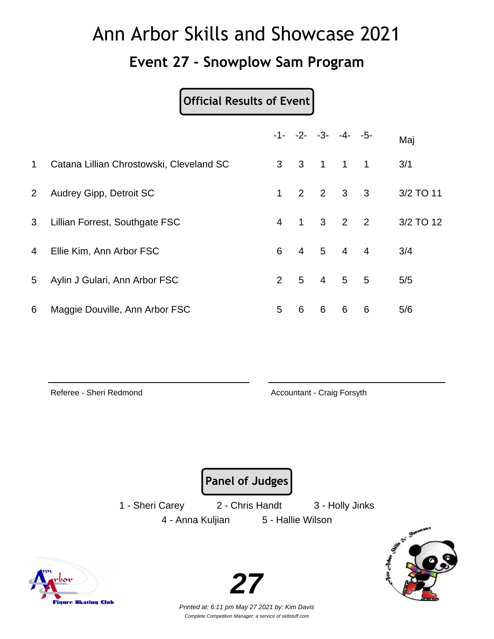#### **Event 27 - Snowplow Sam Program**

#### **Official Results of Event**

|                |                                          |                |                | $-1 - -2 - -3 - -4 - -5$ |                |                          | Maj       |
|----------------|------------------------------------------|----------------|----------------|--------------------------|----------------|--------------------------|-----------|
| 1              | Catana Lillian Chrostowski, Cleveland SC | 3 <sup>1</sup> | $\mathbf{3}$   | $\overline{1}$           | $\overline{1}$ | $\overline{1}$           | 3/1       |
| $\overline{2}$ | Audrey Gipp, Detroit SC                  | 1              | 2              | $2 \quad 3$              |                | $\overline{\mathbf{3}}$  | 3/2 TO 11 |
| 3              | Lillian Forrest, Southgate FSC           | $\overline{4}$ | $\mathbf{1}$   |                          | $3 \quad 2$    | $\overline{\phantom{0}}$ | 3/2 TO 12 |
| $\overline{4}$ | Ellie Kim, Ann Arbor FSC                 | 6              | $\overline{4}$ | 5 4                      |                | $\overline{4}$           | 3/4       |
| 5              | Aylin J Gulari, Ann Arbor FSC            | $\mathcal{P}$  | 5              | $\overline{4}$           | 5 <sup>5</sup> | 5                        | 5/5       |
| 6              | Maggie Douville, Ann Arbor FSC           | 5              | 6              | 6                        | 6              | 6                        | 5/6       |

Referee - Sheri Redmond **Accountant - Craig Forsyth** 

**Panel of Judges**

1 - Sheri Carey 2 - Chris Handt 3 - Holly Jinks 4 - Anna Kuljian 5 - Hallie Wilson



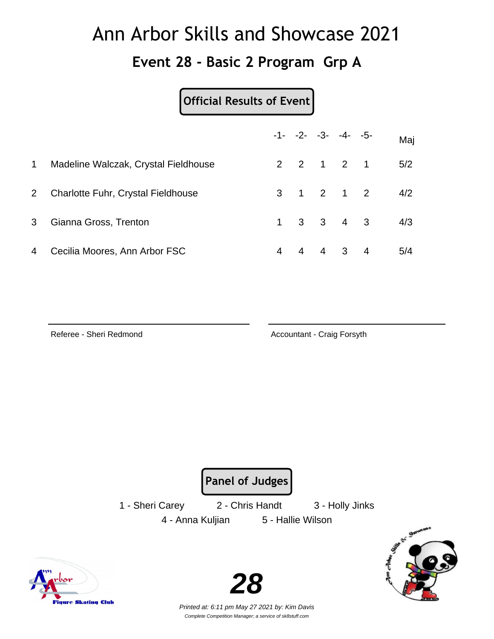#### **Event 28 - Basic 2 Program Grp A**

#### **Official Results of Event**

|                |                                           |   |                | $-1 - -2 - -3 - -4 - -5$ | Maj |
|----------------|-------------------------------------------|---|----------------|--------------------------|-----|
| $\mathbf 1$    | Madeline Walczak, Crystal Fieldhouse      |   |                | 2 2 1 2 1                | 5/2 |
| 2 <sup>2</sup> | <b>Charlotte Fuhr, Crystal Fieldhouse</b> |   |                | 3 1 2 1 2                | 4/2 |
| 3 <sup>1</sup> | Gianna Gross, Trenton                     |   |                | $1 \t3 \t3 \t4 \t3$      | 4/3 |
| 4              | Cecilia Moores, Ann Arbor FSC             | 4 | $\overline{4}$ | $4 \quad 3 \quad 4$      | 5/4 |

igure Skating Club

Referee - Sheri Redmond **Accountant - Craig Forsyth** 

**Panel of Judges**

1 - Sheri Carey 2 - Chris Handt 3 - Holly Jinks 4 - Anna Kuljian 5 - Hallie Wilson



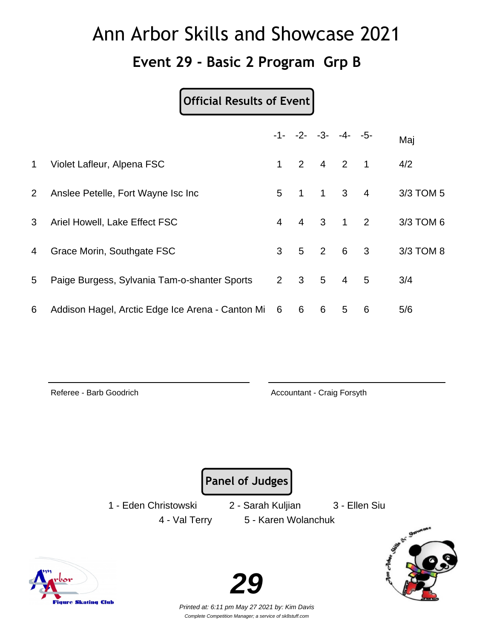#### **Event 29 - Basic 2 Program Grp B**

#### **Official Results of Event**

|                 |                                                    |                |                | $-1 - -2 - -3 - -4 - -5$    |                |   | Maj       |
|-----------------|----------------------------------------------------|----------------|----------------|-----------------------------|----------------|---|-----------|
| $\mathbf 1$     | Violet Lafleur, Alpena FSC                         | 1              |                | $2 \quad 4 \quad 2 \quad 1$ |                |   | 4/2       |
| $\mathbf{2}$    | Anslee Petelle, Fort Wayne Isc Inc.                | 5 <sup>5</sup> | $\overline{1}$ | $1 \quad 3 \quad 4$         |                |   | 3/3 TOM 5 |
| 3               | Ariel Howell, Lake Effect FSC                      | $\overline{4}$ |                | 4 3 1 2                     |                |   | 3/3 TOM 6 |
| 4               | Grace Morin, Southgate FSC                         | 3 <sup>7</sup> |                | $5$ 2 6 3                   |                |   | 3/3 TOM 8 |
| $5\overline{)}$ | Paige Burgess, Sylvania Tam-o-shanter Sports       |                | $2 \quad 3$    | 5 <sub>5</sub>              | $\overline{4}$ | 5 | 3/4       |
| 6               | Addison Hagel, Arctic Edge Ice Arena - Canton Mi 6 |                | 6              | 6                           | 5              | 6 | 5/6       |

igure Skating Club

Referee - Barb Goodrich **Accountant - Craig Forsyth** Accountant - Craig Forsyth

**Panel of Judges**

1 - Eden Christowski 2 - Sarah Kuljian 3 - Ellen Siu

4 - Val Terry 5 - Karen Wolanchuk



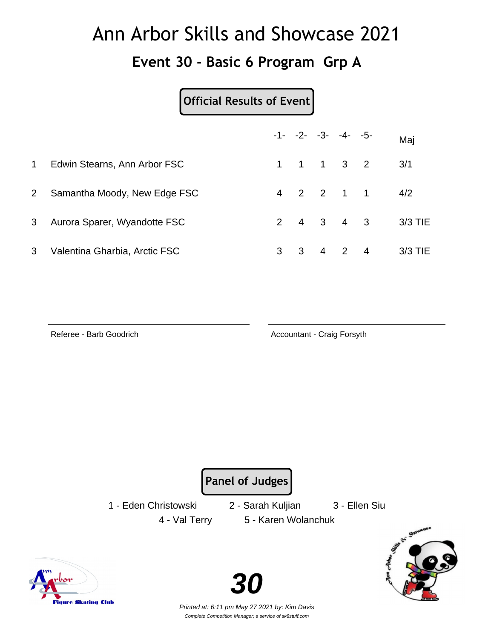#### **Event 30 - Basic 6 Program Grp A**

#### **Official Results of Event**

|                |                               |   | $-1 - -2 - -3 - -4 - -5$            |  | Maj     |
|----------------|-------------------------------|---|-------------------------------------|--|---------|
| $\mathbf 1$    | Edwin Stearns, Ann Arbor FSC  |   | $1 \quad 1 \quad 1 \quad 3 \quad 2$ |  | 3/1     |
| 2 <sup>7</sup> | Samantha Moody, New Edge FSC  |   | 4 2 2 1 1                           |  | 4/2     |
| 3 <sup>1</sup> | Aurora Sparer, Wyandotte FSC  |   | $2 \t 4 \t 3 \t 4 \t 3$             |  | 3/3 TIE |
| 3              | Valentina Gharbia, Arctic FSC | 3 | 3 4 2 4                             |  | 3/3 TIE |

Referee - Barb Goodrich **Accountant - Craig Forsyth** Accountant - Craig Forsyth

**Panel of Judges**

1 - Eden Christowski 2 - Sarah Kuljian 3 - Ellen Siu

4 - Val Terry 5 - Karen Wolanchuk





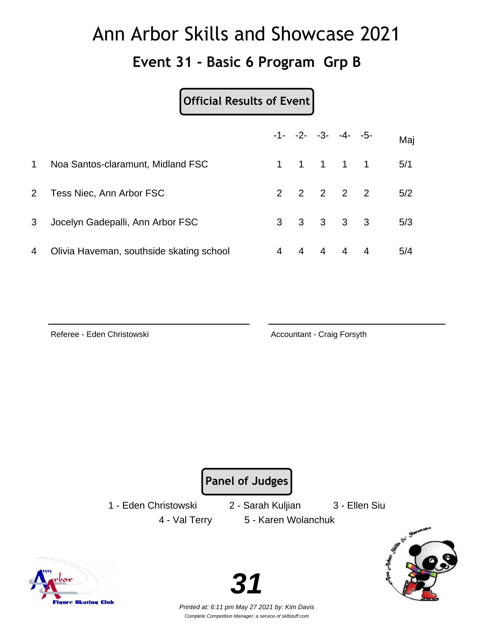#### **Event 31 - Basic 6 Program Grp B**

#### **Official Results of Event**

|                |                                          |   |   |   | $-1 - -2 - -3 - -4 - -5$ | Maj |
|----------------|------------------------------------------|---|---|---|--------------------------|-----|
| 1              | Noa Santos-claramunt, Midland FSC        |   |   |   | 1 1 1 1 1                | 5/1 |
| $\overline{2}$ | Tess Niec, Ann Arbor FSC                 |   |   |   | 2 2 2 2 2                | 5/2 |
| 3              | Jocelyn Gadepalli, Ann Arbor FSC         |   |   |   | $3 \t3 \t3 \t3 \t3$      | 5/3 |
| 4              | Olivia Haveman, southside skating school | 4 | 4 | 4 | $4 \quad 4$              | 5/4 |

Referee - Eden Christowski **Accountant - Craig Forsyth** 

**Panel of Judges**

1 - Eden Christowski 2 - Sarah Kuljian 3 - Ellen Siu

4 - Val Terry 5 - Karen Wolanchuk







Complete Competition Manager; a service of sk8stuff.com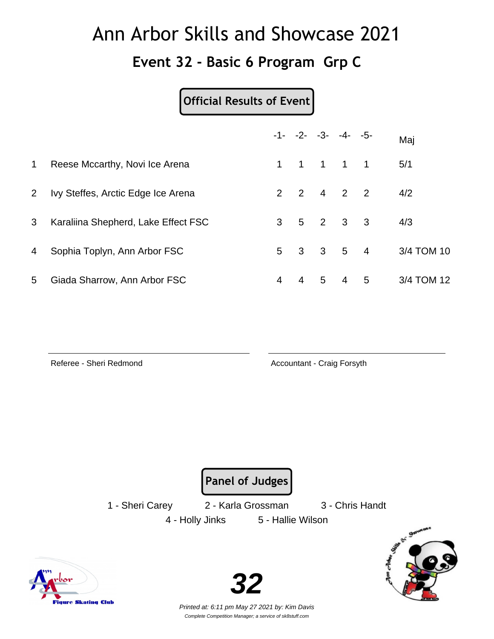**Event 32 - Basic 6 Program Grp C**

**Official Results of Event**

|                |                                     |                 |              |   | $-1 - -2 - -3 - -4 - -5$            |   | Maj        |
|----------------|-------------------------------------|-----------------|--------------|---|-------------------------------------|---|------------|
| $\mathbf{1}$   | Reese Mccarthy, Novi Ice Arena      | 1.              |              |   | 1 1 1 1                             |   | 5/1        |
| 2 <sup>1</sup> | Ivy Steffes, Arctic Edge Ice Arena  |                 |              |   | $2 \quad 2 \quad 4 \quad 2 \quad 2$ |   | 4/2        |
| 3 <sup>1</sup> | Karaliina Shepherd, Lake Effect FSC | 3 <sup>1</sup>  |              |   | $5$ 2 3 3                           |   | 4/3        |
| 4              | Sophia Toplyn, Ann Arbor FSC        | $5\overline{)}$ | $\mathbf{3}$ |   | $3 \quad 5 \quad 4$                 |   | 3/4 TOM 10 |
| 5              | Giada Sharrow, Ann Arbor FSC        | 4               | 4            | 5 | 4                                   | 5 | 3/4 TOM 12 |

Referee - Sheri Redmond **Accountant - Craig Forsyth** 

**Panel of Judges**

1 - Sheri Carey 2 - Karla Grossman 3 - Chris Handt

4 - Holly Jinks 5 - Hallie Wilson



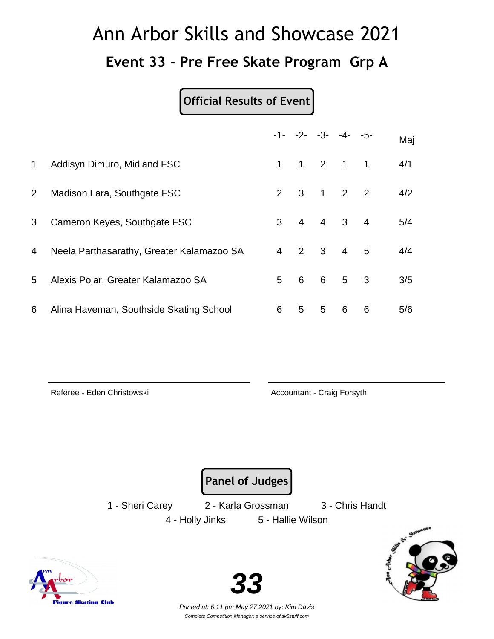## Ann Arbor Skills and Showcase 2021 **Event 33 - Pre Free Skate Program Grp A**

#### **Official Results of Event**

|              |                                           |                |                |             | $-1 - -2 - -3 - -4 - -5$ |                         | Maj |
|--------------|-------------------------------------------|----------------|----------------|-------------|--------------------------|-------------------------|-----|
| $\mathbf 1$  | Addisyn Dimuro, Midland FSC               | $\mathbf 1$    |                |             | $1 \quad 2 \quad 1$      | $\mathbf{1}$            | 4/1 |
| $\mathbf{2}$ | Madison Lara, Southgate FSC               |                |                |             | 2 3 1 2 2                |                         | 4/2 |
| 3            | Cameron Keyes, Southgate FSC              | 3              | $\overline{4}$ |             | $4 \quad 3 \quad 4$      |                         | 5/4 |
| 4            | Neela Parthasarathy, Greater Kalamazoo SA | $\overline{4}$ |                | $2 \quad 3$ | $\overline{4}$           | 5                       | 4/4 |
| 5            | Alexis Pojar, Greater Kalamazoo SA        | 5              | 6              | 6           | 5 <sup>5</sup>           | $\overline{\mathbf{3}}$ | 3/5 |
| 6            | Alina Haveman, Southside Skating School   | 6              | 5              | 5           | 6                        | 6                       | 5/6 |

Referee - Eden Christowski **Accountant - Craig Forsyth** 

**Panel of Judges**

1 - Sheri Carey 2 - Karla Grossman 3 - Chris Handt

4 - Holly Jinks 5 - Hallie Wilson



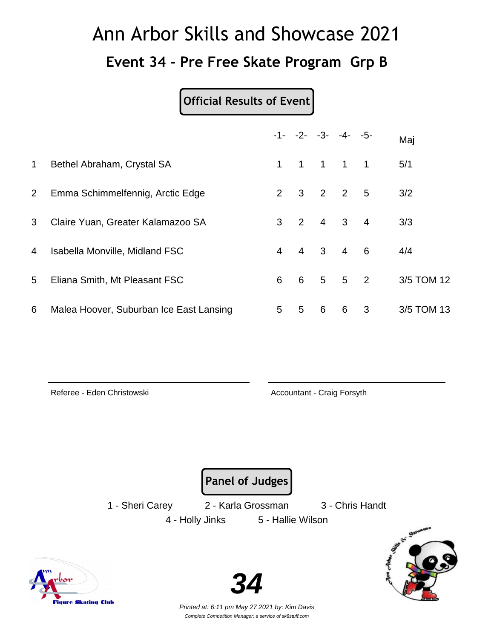## Ann Arbor Skills and Showcase 2021 **Event 34 - Pre Free Skate Program Grp B**

#### **Official Results of Event**

|                |                                         |                | $-1 - -2 - -3 - -4 - -5$ |                |                         |                | Maj        |  |
|----------------|-----------------------------------------|----------------|--------------------------|----------------|-------------------------|----------------|------------|--|
| $\mathbf{1}$   | Bethel Abraham, Crystal SA              | 1              | $\mathbf{1}$             | $\overline{1}$ | $\overline{1}$          | $\overline{1}$ | 5/1        |  |
| 2 <sup>1</sup> | Emma Schimmelfennig, Arctic Edge        | $\overline{2}$ | 3                        | $\overline{2}$ | $\overline{\mathbf{2}}$ | $-5$           | 3/2        |  |
| 3              | Claire Yuan, Greater Kalamazoo SA       | 3              | 2                        | $\overline{4}$ | 3 <sup>1</sup>          | $\overline{4}$ | 3/3        |  |
| 4              | <b>Isabella Monville, Midland FSC</b>   | $\overline{4}$ | $\overline{4}$           | 3 <sup>3</sup> | $\overline{4}$          | 6              | 4/4        |  |
| 5              | Eliana Smith, Mt Pleasant FSC           | 6              | 6                        | 5 <sub>5</sub> |                         | 5 <sub>2</sub> | 3/5 TOM 12 |  |
| 6              | Malea Hoover, Suburban Ice East Lansing | 5              | 5                        | 6              | 6                       | 3              | 3/5 TOM 13 |  |

Referee - Eden Christowski **Accountant - Craig Forsyth** 

**Panel of Judges**

1 - Sheri Carey 2 - Karla Grossman 3 - Chris Handt

4 - Holly Jinks 5 - Hallie Wilson



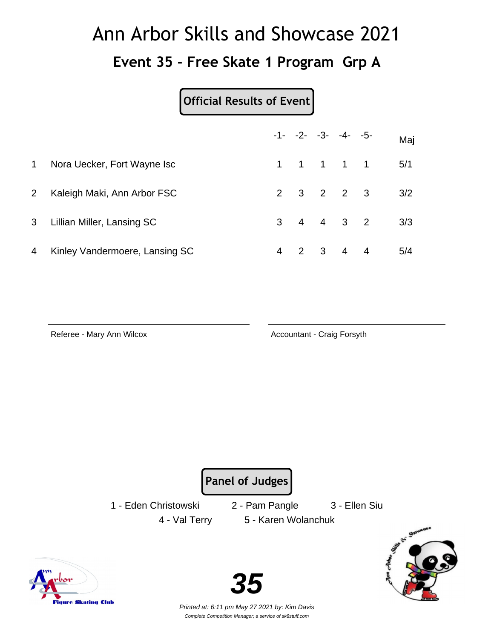# Ann Arbor Skills and Showcase 2021 **Event 35 - Free Skate 1 Program Grp A**

#### **Official Results of Event**

|                |                                |  | $-1 - -2 - -3 - -4 - -5$ | Maj |
|----------------|--------------------------------|--|--------------------------|-----|
| $\mathbf{1}$   | Nora Uecker, Fort Wayne Isc    |  | 1 1 1 1 1                | 5/1 |
| 2 <sup>1</sup> | Kaleigh Maki, Ann Arbor FSC    |  | $2 \t3 \t2 \t2 \t3$      | 3/2 |
| 3 <sup>7</sup> | Lillian Miller, Lansing SC     |  | $3 \t4 \t4 \t3 \t2$      | 3/3 |
| 4              | Kinley Vandermoere, Lansing SC |  | 4 2 3 4 4                | 5/4 |

iqure Skating Club

Referee - Mary Ann Wilcox **Accountant - Craig Forsyth** 

**Panel of Judges**

1 - Eden Christowski 2 - Pam Pangle 3 - Ellen Siu

4 - Val Terry 5 - Karen Wolanchuk

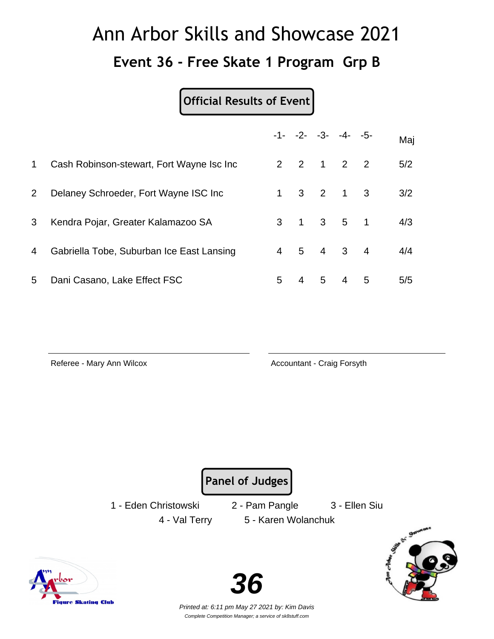# Ann Arbor Skills and Showcase 2021 **Event 36 - Free Skate 1 Program Grp B**

#### **Official Results of Event**

|             |                                           |                |   |                | $-1 - -2 - -3 - -4 - -5$    |   | Maj |
|-------------|-------------------------------------------|----------------|---|----------------|-----------------------------|---|-----|
| $\mathbf 1$ | Cash Robinson-stewart, Fort Wayne Isc Inc |                |   |                | 2 2 1 2 2                   |   | 5/2 |
| $2^{\circ}$ | Delaney Schroeder, Fort Wayne ISC Inc.    |                |   |                | $1 \t3 \t2 \t1 \t3$         |   | 3/2 |
| 3           | Kendra Pojar, Greater Kalamazoo SA        | 3              |   |                | $1 \quad 3 \quad 5 \quad 1$ |   | 4/3 |
| 4           | Gabriella Tobe, Suburban Ice East Lansing | $\overline{4}$ | 5 |                | $4 \quad 3 \quad 4$         |   | 4/4 |
| 5           | Dani Casano, Lake Effect FSC              | 5              | 4 | 5 <sup>5</sup> | 4                           | 5 | 5/5 |

Referee - Mary Ann Wilcox **Accountant - Craig Forsyth** 

**Panel of Judges**

1 - Eden Christowski 2 - Pam Pangle 3 - Ellen Siu

4 - Val Terry 5 - Karen Wolanchuk





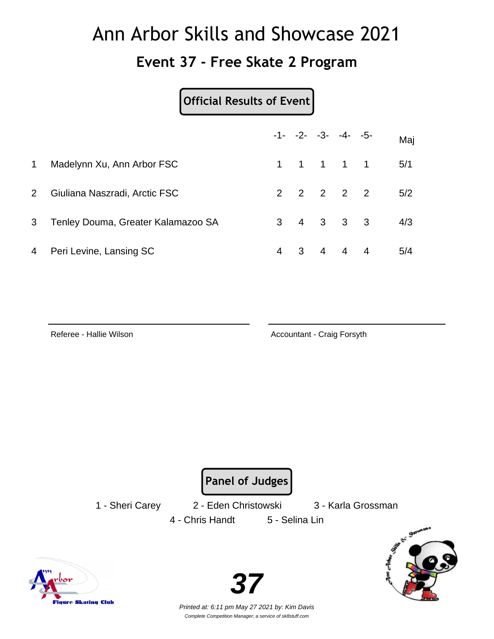### Ann Arbor Skills and Showcase 2021 **Event 37 - Free Skate 2 Program**

**Official Results of Event**

|                |                                    |  | $-1 - -2 - -3 - -4 - -5$ | Maj |
|----------------|------------------------------------|--|--------------------------|-----|
| $\mathbf 1$    | Madelynn Xu, Ann Arbor FSC         |  | 1 1 1 1 1                | 5/1 |
| $2^{\circ}$    | Giuliana Naszradi, Arctic FSC      |  | 2 2 2 2 2                | 5/2 |
| 3 <sup>1</sup> | Tenley Douma, Greater Kalamazoo SA |  | $3 \t 4 \t 3 \t 3 \t 3$  | 4/3 |
| 4              | Peri Levine, Lansing SC            |  | 4   3   4   4   4        | 5/4 |

Referee - Hallie Wilson **Accountant - Craig Forsyth** 

**Panel of Judges**

1 - Sheri Carey 2 - Eden Christowski 3 - Karla Grossman 4 - Chris Handt 5 - Selina Lin





**37**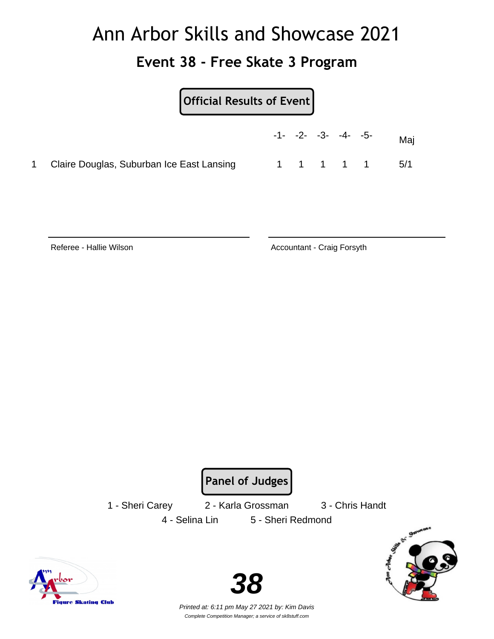### Ann Arbor Skills and Showcase 2021 **Event 38 - Free Skate 3 Program**

#### **Official Results of Event**

|                                             |  | $-1$ - $-2$ - $-3$ - $-4$ - $-5$ - |  | Mai  |
|---------------------------------------------|--|------------------------------------|--|------|
| 1 Claire Douglas, Suburban Ice East Lansing |  | 1 1 1 1 1                          |  | .5/1 |

Referee - Hallie Wilson **Accountant - Craig Forsyth** Accountant - Craig Forsyth

**Panel of Judges**

1 - Sheri Carey 2 - Karla Grossman 3 - Chris Handt

4 - Selina Lin 5 - Sheri Redmond



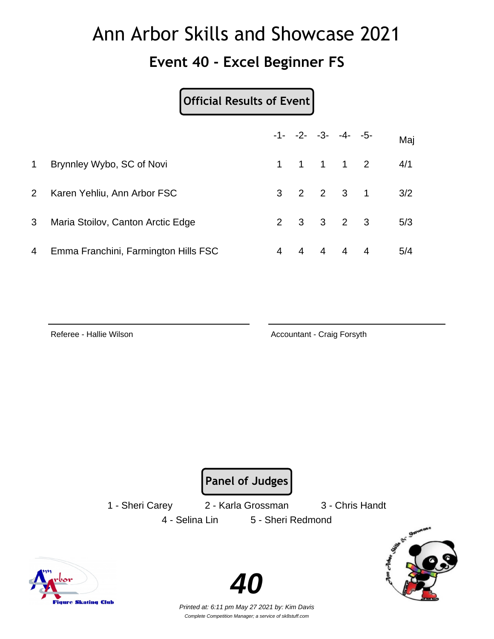#### **Event 40 - Excel Beginner FS**

#### **Official Results of Event**

|             |                                      |   |   | $-1 - -2 - -3 - -4 - -5$ | Maj |
|-------------|--------------------------------------|---|---|--------------------------|-----|
| $\mathbf 1$ | Brynnley Wybo, SC of Novi            |   |   | 1 1 1 1 2                | 4/1 |
| $2^{\circ}$ | Karen Yehliu, Ann Arbor FSC          |   |   | 3 2 2 3 1                | 3/2 |
| 3           | Maria Stoilov, Canton Arctic Edge    |   |   | $2 \t3 \t3 \t2 \t3$      | 5/3 |
| 4           | Emma Franchini, Farmington Hills FSC | 4 | 4 | 444                      | 5/4 |

Referee - Hallie Wilson **Accountant - Craig Forsyth** 

**Panel of Judges**

4 - Selina Lin 5 - Sheri Redmond

1 - Sheri Carey 2 - Karla Grossman 3 - Chris Handt



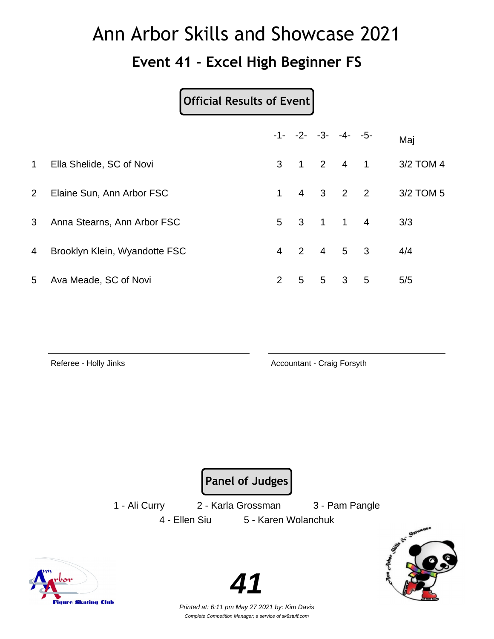#### **Event 41 - Excel High Beginner FS**

#### **Official Results of Event**

|                |                               |                |                | $-1 - -2 - -3 - -4 - -5$ |                     |               | Maj       |
|----------------|-------------------------------|----------------|----------------|--------------------------|---------------------|---------------|-----------|
| $\mathbf{1}$   | Ella Shelide, SC of Novi      |                |                | 3 1 2 4 1                |                     |               | 3/2 TOM 4 |
| $2^{\circ}$    | Elaine Sun, Ann Arbor FSC     | 1              |                |                          |                     | 4   3   2   2 | 3/2 TOM 5 |
| 3              | Anna Stearns, Ann Arbor FSC   |                |                | 5 3 1 1 4                |                     |               | 3/3       |
| $\overline{4}$ | Brooklyn Klein, Wyandotte FSC | $\overline{4}$ |                | 2 4 5 3                  |                     |               | 4/4       |
| 5              | Ava Meade, SC of Novi         | $\overline{2}$ | 5 <sup>5</sup> |                          | $5 \quad 3 \quad 5$ |               | 5/5       |

Referee - Holly Jinks **Accountant - Craig Forsyth** 

**Panel of Judges**

1 - Ali Curry 2 - Karla Grossman 3 - Pam Pangle 4 - Ellen Siu 5 - Karen Wolanchuk



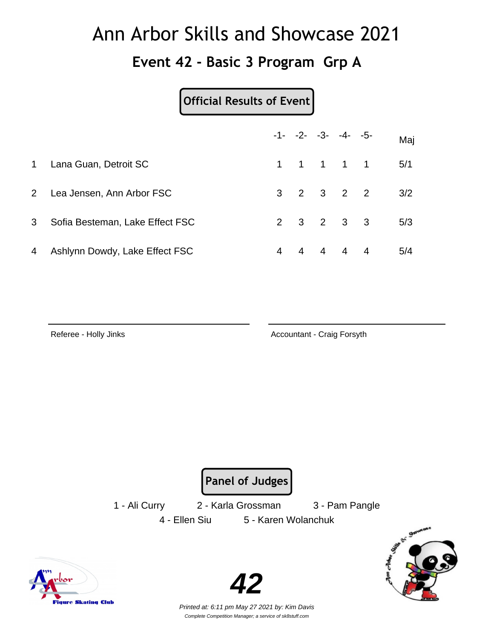**Event 42 - Basic 3 Program Grp A**

**Official Results of Event**

|                |                                 |   |                | $-1 - -2 - -3 - -4 - -5$ | Maj |
|----------------|---------------------------------|---|----------------|--------------------------|-----|
| 1              | Lana Guan, Detroit SC           |   |                | 1 1 1 1 1                | 5/1 |
|                | 2 Lea Jensen, Ann Arbor FSC     |   |                | $3 \t2 \t3 \t2 \t2$      | 3/2 |
| 3 <sup>1</sup> | Sofia Besteman, Lake Effect FSC |   |                | $2 \t3 \t2 \t3 \t3$      | 5/3 |
| 4              | Ashlynn Dowdy, Lake Effect FSC  | 4 | $\overline{4}$ | 4 4 4                    | 5/4 |

Referee - Holly Jinks **Accountant - Craig Forsyth** 

**Panel of Judges**

1 - Ali Curry 2 - Karla Grossman 3 - Pam Pangle 4 - Ellen Siu 5 - Karen Wolanchuk



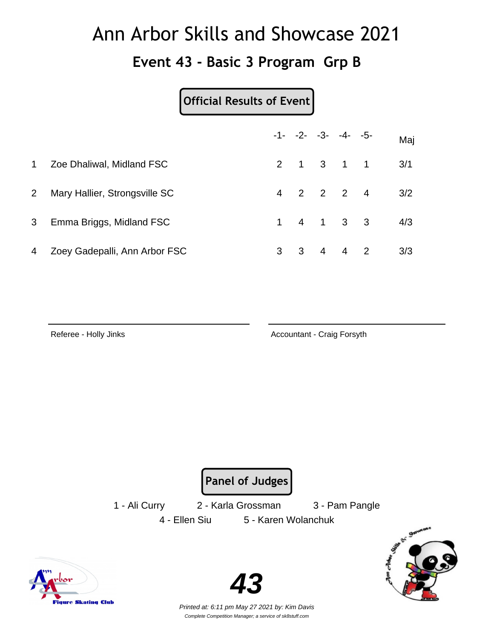#### **Event 43 - Basic 3 Program Grp B**

#### **Official Results of Event**

|                |                               |   |  | $-1 - -2 - -3 - -4 - -5$            | Maj |
|----------------|-------------------------------|---|--|-------------------------------------|-----|
| $\mathbf{1}$   | Zoe Dhaliwal, Midland FSC     |   |  | 2 1 3 1 1                           | 3/1 |
| $2^{\circ}$    | Mary Hallier, Strongsville SC |   |  | 4 2 2 2 4                           | 3/2 |
| 3 <sup>1</sup> | Emma Briggs, Midland FSC      |   |  | $1 \quad 4 \quad 1 \quad 3 \quad 3$ | 4/3 |
| 4              | Zoey Gadepalli, Ann Arbor FSC | 3 |  | 3 4 4 2                             | 3/3 |

Referee - Holly Jinks **Accountant - Craig Forsyth** 

**Panel of Judges**

4 - Ellen Siu 5 - Karen Wolanchuk

1 - Ali Curry 2 - Karla Grossman 3 - Pam Pangle



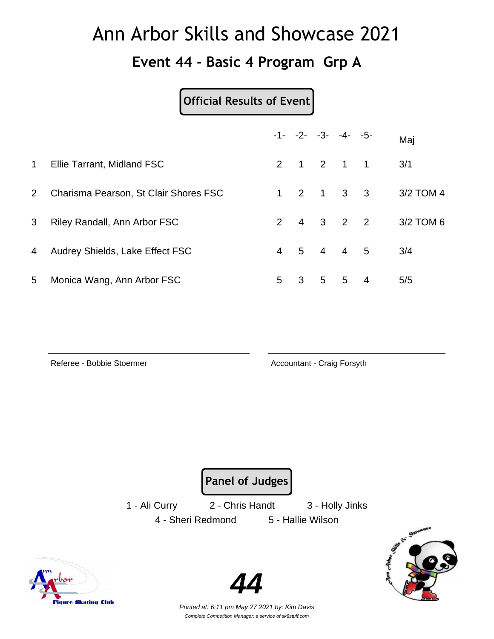#### **Event 44 - Basic 4 Program Grp A**

#### **Official Results of Event**

|              |                                       |   |                         | $-1 - -2 - -3 - -4 - -5$            |                   | Maj       |
|--------------|---------------------------------------|---|-------------------------|-------------------------------------|-------------------|-----------|
| $\mathbf{1}$ | Ellie Tarrant, Midland FSC            |   |                         | 2 1 2 1 1                           |                   | 3/1       |
| $2^{\circ}$  | Charisma Pearson, St Clair Shores FSC |   |                         | $1 \quad 2 \quad 1 \quad 3 \quad 3$ |                   | 3/2 TOM 4 |
| 3            | Riley Randall, Ann Arbor FSC          |   |                         | $2 \quad 4 \quad 3 \quad 2 \quad 2$ |                   | 3/2 TOM 6 |
| 4            | Audrey Shields, Lake Effect FSC       |   |                         | 4 5 4 4 5                           |                   | 3/4       |
| 5            | Monica Wang, Ann Arbor FSC            | 5 | $\overline{\mathbf{3}}$ |                                     | $5\quad 5\quad 4$ | 5/5       |

Referee - Bobbie Stoermer **Accountant - Craig Forsyth** 

**Panel of Judges**

1 - Ali Curry 2 - Chris Handt 3 - Holly Jinks 4 - Sheri Redmond 5 - Hallie Wilson





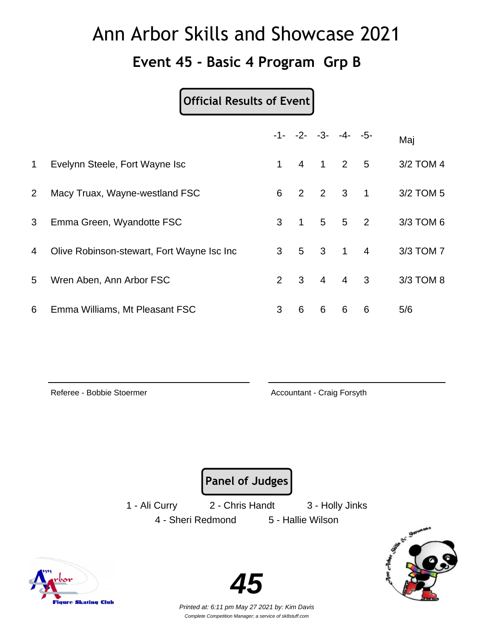#### **Event 45 - Basic 4 Program Grp B**

#### **Official Results of Event**

|                |                                            |             |                |   | $-1 - -2 - -3 - -4 - -5$ |   | Maj       |
|----------------|--------------------------------------------|-------------|----------------|---|--------------------------|---|-----------|
| $\mathbf 1$    | Evelynn Steele, Fort Wayne Isc             | $\mathbf 1$ | $\overline{4}$ |   | $1 \quad 2 \quad 5$      |   | 3/2 TOM 4 |
| $\overline{2}$ | Macy Truax, Wayne-westland FSC             |             |                |   | 6 2 2 3 1                |   | 3/2 TOM 5 |
| 3              | Emma Green, Wyandotte FSC                  |             |                |   | 3 1 5 5 2                |   | 3/3 TOM 6 |
| 4              | Olive Robinson-stewart, Fort Wayne Isc Inc |             |                |   | 3 5 3 1 4                |   | 3/3 TOM 7 |
| 5              | Wren Aben, Ann Arbor FSC                   |             |                |   | $2 \t3 \t4 \t4 \t3$      |   | 3/3 TOM 8 |
| 6              | Emma Williams, Mt Pleasant FSC             | 3           | 6              | 6 | 6                        | 6 | 5/6       |

Referee - Bobbie Stoermer **Accountant - Craig Forsyth** 

**Panel of Judges**

1 - Ali Curry 2 - Chris Handt 3 - Holly Jinks 4 - Sheri Redmond 5 - Hallie Wilson



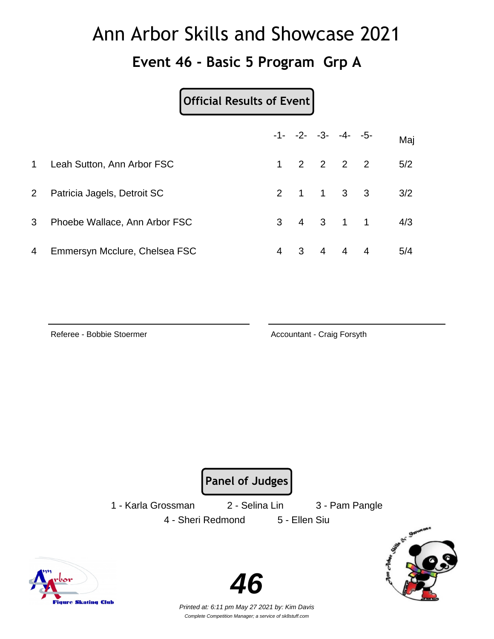#### **Event 46 - Basic 5 Program Grp A**

#### **Official Results of Event**

|                |                               |   |  | $-1 - -2 - -3 - -4 - -5$            |           | Maj |
|----------------|-------------------------------|---|--|-------------------------------------|-----------|-----|
| $\mathbf 1$    | Leah Sutton, Ann Arbor FSC    |   |  | $1 \quad 2 \quad 2 \quad 2 \quad 2$ |           | 5/2 |
| 2 <sup>1</sup> | Patricia Jagels, Detroit SC   |   |  | 2 1 1 3 3                           |           | 3/2 |
| 3 <sup>1</sup> | Phoebe Wallace, Ann Arbor FSC |   |  |                                     | 3 4 3 1 1 | 4/3 |
| 4              | Emmersyn Mcclure, Chelsea FSC | 4 |  | 3 4 4 4                             |           | 5/4 |

Referee - Bobbie Stoermer **Accountant - Craig Forsyth** 

**Panel of Judges**

1 - Karla Grossman 2 - Selina Lin 3 - Pam Pangle 4 - Sheri Redmond 5 - Ellen Siu





**46**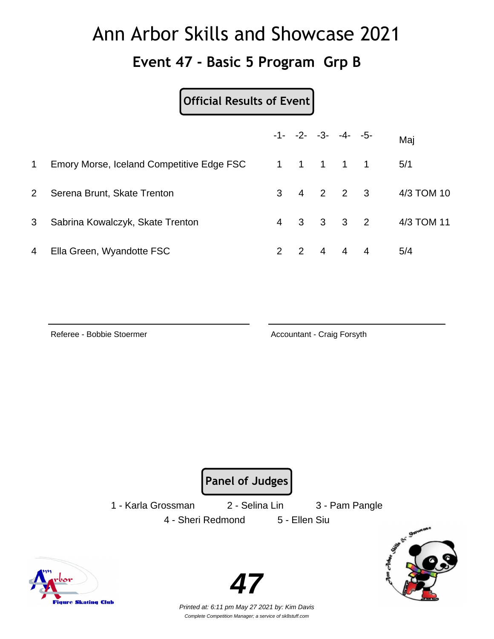#### **Event 47 - Basic 5 Program Grp B**

#### **Official Results of Event**

|                |                                           |               |  | $-1 - -2 - -3 - -4 - -5$ | Maj        |
|----------------|-------------------------------------------|---------------|--|--------------------------|------------|
| 1              | Emory Morse, Iceland Competitive Edge FSC |               |  | 1 1 1 1 1                | 5/1        |
| $2^{\circ}$    | Serena Brunt, Skate Trenton               |               |  | $3 \t4 \t2 \t2 \t3$      | 4/3 TOM 10 |
| 3 <sup>1</sup> | Sabrina Kowalczyk, Skate Trenton          |               |  | 4   3   3   3   2        | 4/3 TOM 11 |
| 4              | Ella Green, Wyandotte FSC                 | $\mathcal{P}$ |  | 2 4 4 4                  | 5/4        |

Referee - Bobbie Stoermer **Accountant - Craig Forsyth** 

**Panel of Judges**

1 - Karla Grossman 2 - Selina Lin 3 - Pam Pangle 4 - Sheri Redmond 5 - Ellen Siu



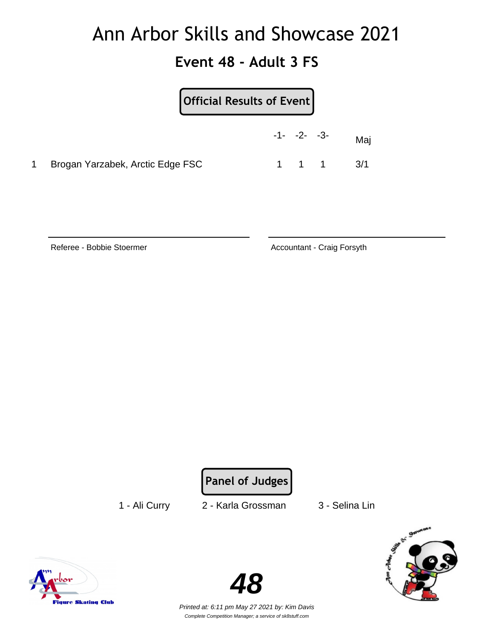#### **Event 48 - Adult 3 FS**

| Official Results of Event        |                |           |
|----------------------------------|----------------|-----------|
|                                  | $-1 - -2 - -3$ | Maj       |
| Brogan Yarzabek, Arctic Edge FSC |                | 1 1 1 3/1 |

Referee - Bobbie Stoermer **Accountant - Craig Forsyth** 

**Panel of Judges**

1 - Ali Curry 2 - Karla Grossman 3 - Selina Lin



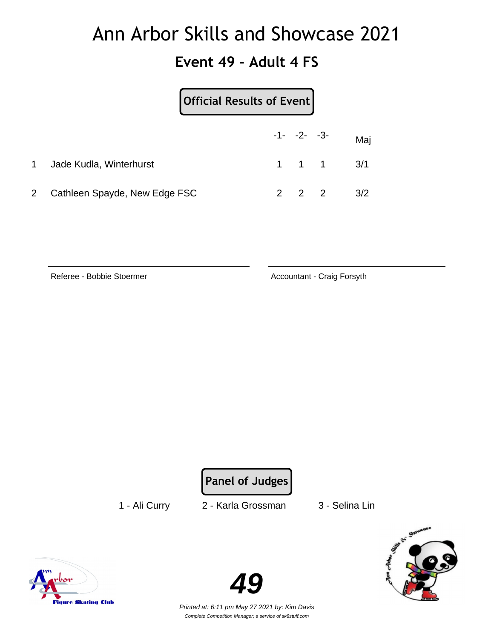#### **Event 49 - Adult 4 FS**

|                |                               | Official Results of Event |                |  |                               |
|----------------|-------------------------------|---------------------------|----------------|--|-------------------------------|
|                |                               |                           | $-1 - -2 - -3$ |  | Maj                           |
| 1              | Jade Kudla, Winterhurst       |                           |                |  | $1 \quad 1 \quad 1 \quad 3/1$ |
| $\overline{2}$ | Cathleen Spayde, New Edge FSC |                           | $2 \quad 2$    |  | 3/2                           |

Referee - Bobbie Stoermer **Accountant - Craig Forsyth** 

**Panel of Judges**

1 - Ali Curry 2 - Karla Grossman 3 - Selina Lin





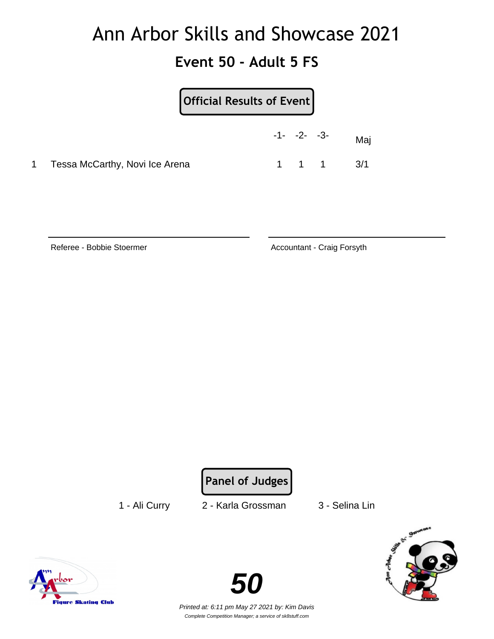#### **Event 50 - Adult 5 FS**

|   |                                | Official Results of Event |                |                               |
|---|--------------------------------|---------------------------|----------------|-------------------------------|
|   |                                |                           | $-1 - -2 - -3$ | Mai                           |
| 1 | Tessa McCarthy, Novi Ice Arena |                           |                | $1 \quad 1 \quad 1 \quad 3/1$ |

Referee - Bobbie Stoermer **Accountant - Craig Forsyth** 

**Panel of Judges**

1 - Ali Curry 2 - Karla Grossman 3 - Selina Lin





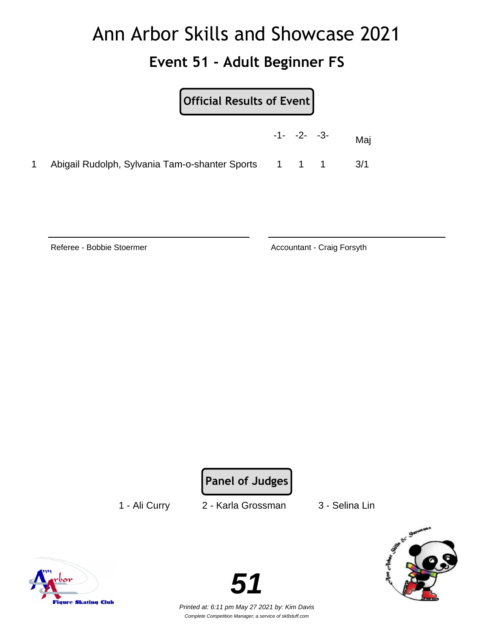#### **Event 51 - Adult Beginner FS**

|                                                      | $-1 - -2 - -3 -$ | Mai |
|------------------------------------------------------|------------------|-----|
| Abigail Rudolph, Sylvania Tam-o-shanter Sports 1 1 1 |                  | 3/1 |

Referee - Bobbie Stoermer **Accountant - Craig Forsyth** 

**Panel of Judges**

1 - Ali Curry 2 - Karla Grossman 3 - Selina Lin







Complete Competition Manager; a service of sk8stuff.com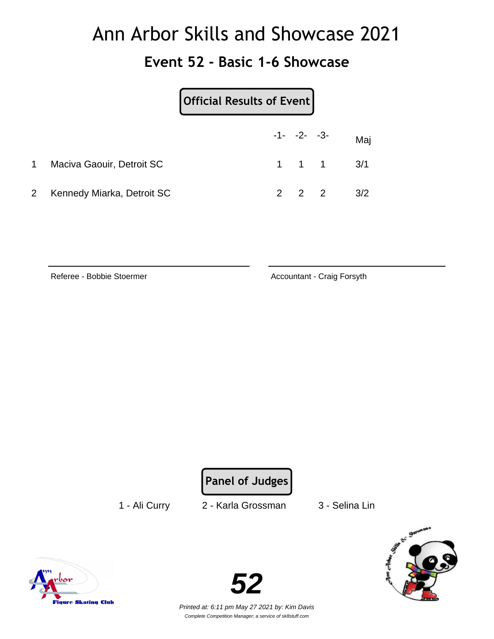#### **Event 52 - Basic 1-6 Showcase**

|              |                            | Official Results of Event |                     |                               |     |
|--------------|----------------------------|---------------------------|---------------------|-------------------------------|-----|
|              |                            |                           | $-1 - -2 - -3$      |                               | Maj |
| $\mathbf 1$  | Maciva Gaouir, Detroit SC  |                           |                     | $1 \quad 1 \quad 1 \quad 3/1$ |     |
| $\mathbf{2}$ | Kennedy Miarka, Detroit SC |                           | $2 \quad 2 \quad 2$ |                               | 3/2 |

Referee - Bobbie Stoermer **Accountant - Craig Forsyth** 

**Panel of Judges**

1 - Ali Curry 2 - Karla Grossman 3 - Selina Lin